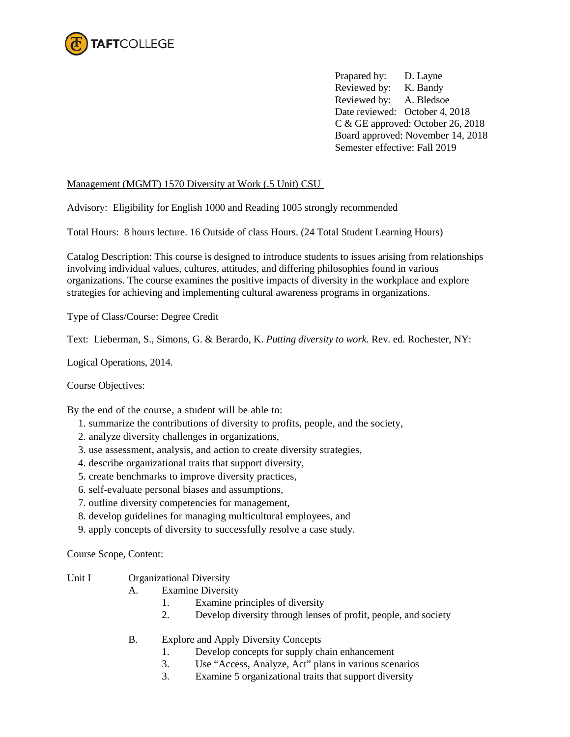

Prapared by: D. Layne Reviewed by: K. Bandy Reviewed by: A. Bledsoe Date reviewed: October 4, 2018 C & GE approved: October 26, 2018 Board approved: November 14, 2018 Semester effective: Fall 2019

## Management (MGMT) 1570 Diversity at Work (.5 Unit) CSU

Advisory: Eligibility for English 1000 and Reading 1005 strongly recommended

Total Hours: 8 hours lecture. 16 Outside of class Hours. (24 Total Student Learning Hours)

Catalog Description: This course is designed to introduce students to issues arising from relationships involving individual values, cultures, attitudes, and differing philosophies found in various organizations. The course examines the positive impacts of diversity in the workplace and explore strategies for achieving and implementing cultural awareness programs in organizations.

Type of Class/Course: Degree Credit

Text: Lieberman, S., Simons, G. & Berardo, K. *Putting diversity to work.* Rev. ed. Rochester, NY:

Logical Operations, 2014.

Course Objectives:

By the end of the course, a student will be able to:

- 1. summarize the contributions of diversity to profits, people, and the society,
- 2. analyze diversity challenges in organizations,
- 3. use assessment, analysis, and action to create diversity strategies,
- 4. describe organizational traits that support diversity,
- 5. create benchmarks to improve diversity practices,
- 6. self-evaluate personal biases and assumptions,
- 7. outline diversity competencies for management,
- 8. develop guidelines for managing multicultural employees, and
- 9. apply concepts of diversity to successfully resolve a case study.

Course Scope, Content:

- Unit I Organizational Diversity
	- A. Examine Diversity
		- 1. Examine principles of diversity
		- 2. Develop diversity through lenses of profit, people, and society
	- B. Explore and Apply Diversity Concepts
		- 1. Develop concepts for supply chain enhancement
		- 3. Use "Access, Analyze, Act" plans in various scenarios
		- 3. Examine 5 organizational traits that support diversity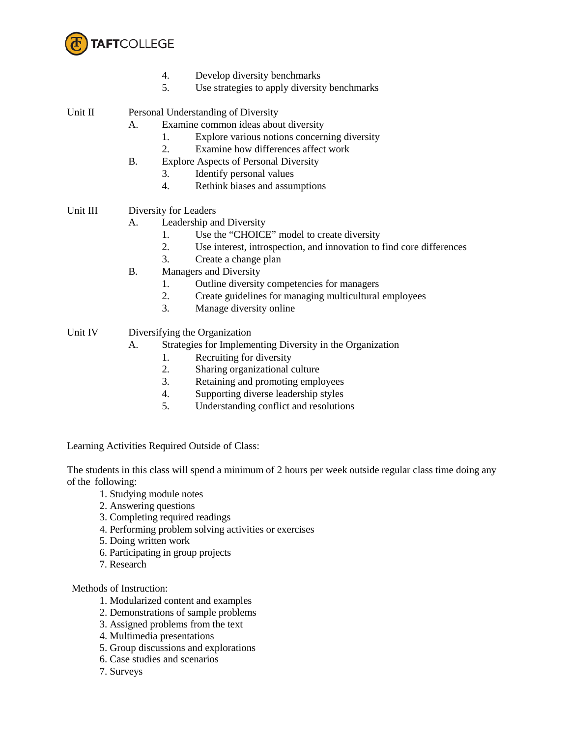

- 4. Develop diversity benchmarks
- 5. Use strategies to apply diversity benchmarks

Unit II Personal Understanding of Diversity

- A. Examine common ideas about diversity
	- 1. Explore various notions concerning diversity
	- 2. Examine how differences affect work
- B. Explore Aspects of Personal Diversity
	- 3. Identify personal values
	- 4. Rethink biases and assumptions

# Unit III Diversity for Leaders

- A. Leadership and Diversity
	- 1. Use the "CHOICE" model to create diversity
	- 2. Use interest, introspection, and innovation to find core differences
	- 3. Create a change plan
- B. Managers and Diversity
	- 1. Outline diversity competencies for managers
	- 2. Create guidelines for managing multicultural employees
	- 3. Manage diversity online
- Unit IV Diversifying the Organization
	- A. Strategies for Implementing Diversity in the Organization
		- 1. Recruiting for diversity
		- 2. Sharing organizational culture
		- 3. Retaining and promoting employees
		- 4. Supporting diverse leadership styles
		- 5. Understanding conflict and resolutions

Learning Activities Required Outside of Class:

The students in this class will spend a minimum of 2 hours per week outside regular class time doing any of the following:

- 1. Studying module notes
- 2. Answering questions
- 3. Completing required readings
- 4. Performing problem solving activities or exercises
- 5. Doing written work
- 6. Participating in group projects
- 7. Research

Methods of Instruction:

- 1. Modularized content and examples
- 2. Demonstrations of sample problems
- 3. Assigned problems from the text
- 4. Multimedia presentations
- 5. Group discussions and explorations
- 6. Case studies and scenarios
- 7. Surveys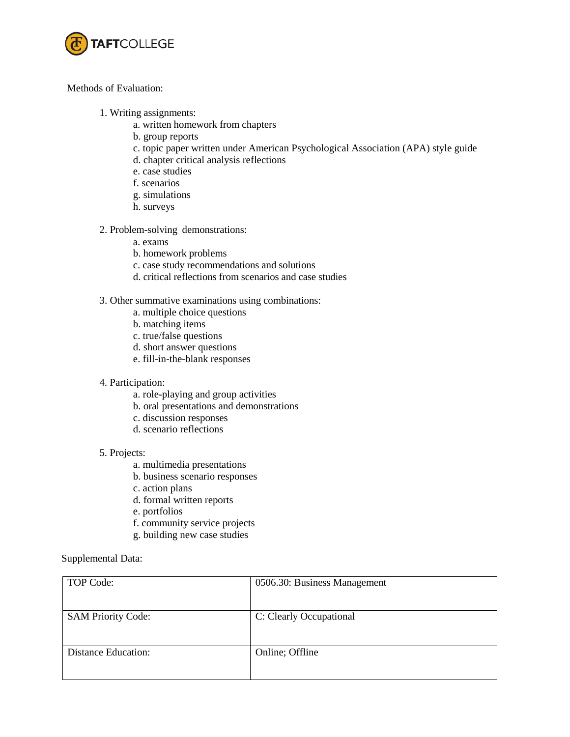

### Methods of Evaluation:

- 1. Writing assignments:
	- a. written homework from chapters
	- b. group reports
	- c. topic paper written under American Psychological Association (APA) style guide
	- d. chapter critical analysis reflections
	- e. case studies
	- f. scenarios
	- g. simulations
	- h. surveys
- 2. Problem-solving demonstrations:
	- a. exams
	- b. homework problems
	- c. case study recommendations and solutions
	- d. critical reflections from scenarios and case studies
- 3. Other summative examinations using combinations:
	- a. multiple choice questions
	- b. matching items
	- c. true/false questions
	- d. short answer questions
	- e. fill-in-the-blank responses
- 4. Participation:
	- a. role-playing and group activities
	- b. oral presentations and demonstrations
	- c. discussion responses
	- d. scenario reflections

#### 5. Projects:

- a. multimedia presentations
- b. business scenario responses
- c. action plans
- d. formal written reports
- e. portfolios
- f. community service projects
- g. building new case studies

### Supplemental Data:

| TOP Code:                  | 0506.30: Business Management |
|----------------------------|------------------------------|
|                            |                              |
| <b>SAM Priority Code:</b>  | C: Clearly Occupational      |
|                            |                              |
| <b>Distance Education:</b> | Online; Offline              |
|                            |                              |